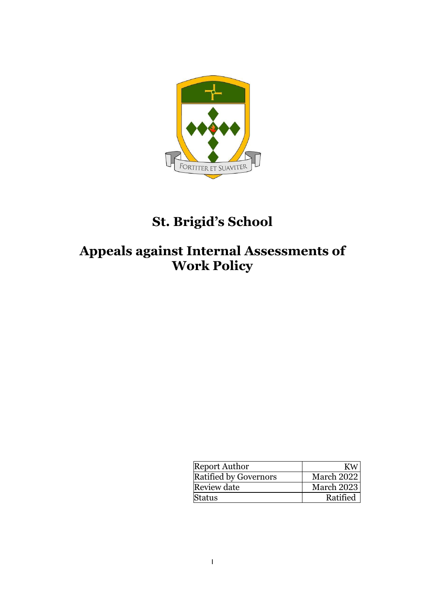

## **St. Brigid's School**

## **Appeals against Internal Assessments of Work Policy**

| <b>Report Author</b>         | КW         |
|------------------------------|------------|
| <b>Ratified by Governors</b> | March 2022 |
| Review date                  | March 2023 |
| Status                       | Ratified   |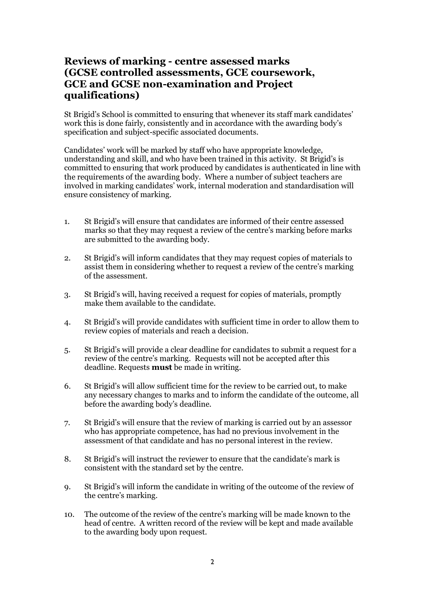## **Reviews of marking - centre assessed marks (GCSE controlled assessments, GCE coursework, GCE and GCSE non-examination and Project qualifications)**

St Brigid's School is committed to ensuring that whenever its staff mark candidates' work this is done fairly, consistently and in accordance with the awarding body's specification and subject-specific associated documents.

Candidates' work will be marked by staff who have appropriate knowledge, understanding and skill, and who have been trained in this activity. St Brigid's is committed to ensuring that work produced by candidates is authenticated in line with the requirements of the awarding body. Where a number of subject teachers are involved in marking candidates' work, internal moderation and standardisation will ensure consistency of marking.

- 1. St Brigid's will ensure that candidates are informed of their centre assessed marks so that they may request a review of the centre's marking before marks are submitted to the awarding body.
- 2. St Brigid's will inform candidates that they may request copies of materials to assist them in considering whether to request a review of the centre's marking of the assessment.
- 3. St Brigid's will, having received a request for copies of materials, promptly make them available to the candidate.
- 4. St Brigid's will provide candidates with sufficient time in order to allow them to review copies of materials and reach a decision.
- 5. St Brigid's will provide a clear deadline for candidates to submit a request for a review of the centre's marking. Requests will not be accepted after this deadline. Requests **must** be made in writing.
- 6. St Brigid's will allow sufficient time for the review to be carried out, to make any necessary changes to marks and to inform the candidate of the outcome, all before the awarding body's deadline.
- 7. St Brigid's will ensure that the review of marking is carried out by an assessor who has appropriate competence, has had no previous involvement in the assessment of that candidate and has no personal interest in the review.
- 8. St Brigid's will instruct the reviewer to ensure that the candidate's mark is consistent with the standard set by the centre.
- 9. St Brigid's will inform the candidate in writing of the outcome of the review of the centre's marking.
- 10. The outcome of the review of the centre's marking will be made known to the head of centre. A written record of the review will be kept and made available to the awarding body upon request.